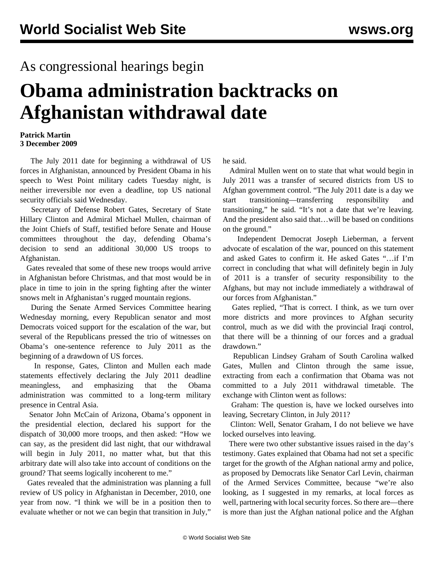## As congressional hearings begin

## **Obama administration backtracks on Afghanistan withdrawal date**

## **Patrick Martin 3 December 2009**

 The July 2011 date for beginning a withdrawal of US forces in Afghanistan, announced by President Obama in his speech to West Point military cadets Tuesday night, is neither irreversible nor even a deadline, top US national security officials said Wednesday.

 Secretary of Defense Robert Gates, Secretary of State Hillary Clinton and Admiral Michael Mullen, chairman of the Joint Chiefs of Staff, testified before Senate and House committees throughout the day, defending Obama's decision to send an additional 30,000 US troops to Afghanistan.

 Gates revealed that some of these new troops would arrive in Afghanistan before Christmas, and that most would be in place in time to join in the spring fighting after the winter snows melt in Afghanistan's rugged mountain regions.

 During the Senate Armed Services Committee hearing Wednesday morning, every Republican senator and most Democrats voiced support for the escalation of the war, but several of the Republicans pressed the trio of witnesses on Obama's one-sentence reference to July 2011 as the beginning of a drawdown of US forces.

 In response, Gates, Clinton and Mullen each made statements effectively declaring the July 2011 deadline meaningless, and emphasizing that the Obama administration was committed to a long-term military presence in Central Asia.

 Senator John McCain of Arizona, Obama's opponent in the presidential election, declared his support for the dispatch of 30,000 more troops, and then asked: "How we can say, as the president did last night, that our withdrawal will begin in July 2011, no matter what, but that this arbitrary date will also take into account of conditions on the ground? That seems logically incoherent to me."

 Gates revealed that the administration was planning a full review of US policy in Afghanistan in December, 2010, one year from now. "I think we will be in a position then to evaluate whether or not we can begin that transition in July,"

he said.

 Admiral Mullen went on to state that what would begin in July 2011 was a transfer of secured districts from US to Afghan government control. "The July 2011 date is a day we start transitioning—transferring responsibility and transitioning," he said. "It's not a date that we're leaving. And the president also said that…will be based on conditions on the ground."

 Independent Democrat Joseph Lieberman, a fervent advocate of escalation of the war, pounced on this statement and asked Gates to confirm it. He asked Gates "…if I'm correct in concluding that what will definitely begin in July of 2011 is a transfer of security responsibility to the Afghans, but may not include immediately a withdrawal of our forces from Afghanistan."

 Gates replied, "That is correct. I think, as we turn over more districts and more provinces to Afghan security control, much as we did with the provincial Iraqi control, that there will be a thinning of our forces and a gradual drawdown."

 Republican Lindsey Graham of South Carolina walked Gates, Mullen and Clinton through the same issue, extracting from each a confirmation that Obama was not committed to a July 2011 withdrawal timetable. The exchange with Clinton went as follows:

 Graham: The question is, have we locked ourselves into leaving, Secretary Clinton, in July 2011?

 Clinton: Well, Senator Graham, I do not believe we have locked ourselves into leaving.

 There were two other substantive issues raised in the day's testimony. Gates explained that Obama had not set a specific target for the growth of the Afghan national army and police, as proposed by Democrats like Senator Carl Levin, chairman of the Armed Services Committee, because "we're also looking, as I suggested in my remarks, at local forces as well, partnering with local security forces. So there are—there is more than just the Afghan national police and the Afghan